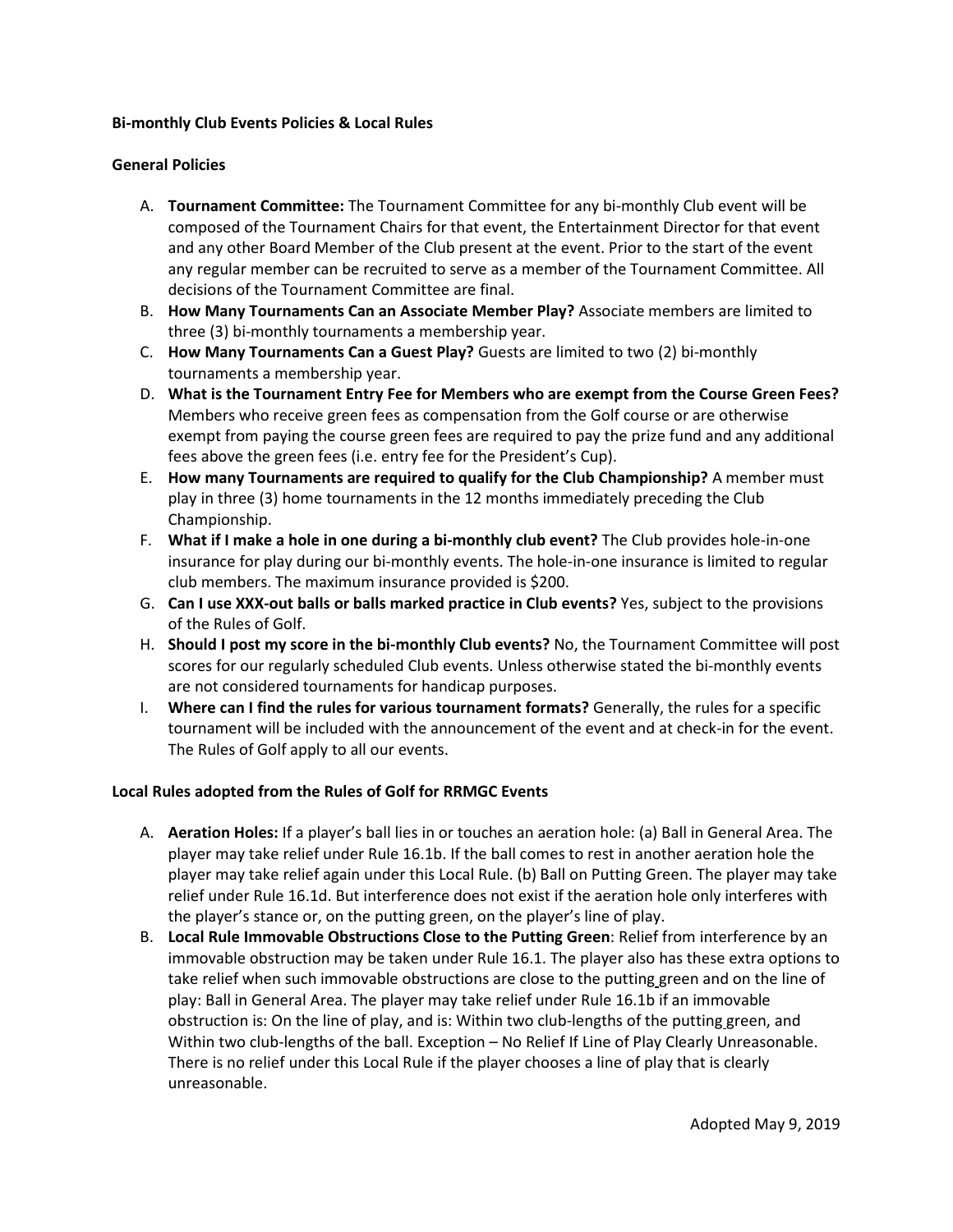#### **Bi-monthly Club Events Policies & Local Rules**

#### **General Policies**

- A. **Tournament Committee:** The Tournament Committee for any bi-monthly Club event will be composed of the Tournament Chairs for that event, the Entertainment Director for that event and any other Board Member of the Club present at the event. Prior to the start of the event any regular member can be recruited to serve as a member of the Tournament Committee. All decisions of the Tournament Committee are final.
- B. **How Many Tournaments Can an Associate Member Play?** Associate members are limited to three (3) bi-monthly tournaments a membership year.
- C. **How Many Tournaments Can a Guest Play?** Guests are limited to two (2) bi-monthly tournaments a membership year.
- D. **What is the Tournament Entry Fee for Members who are exempt from the Course Green Fees?** Members who receive green fees as compensation from the Golf course or are otherwise exempt from paying the course green fees are required to pay the prize fund and any additional fees above the green fees (i.e. entry fee for the President's Cup).
- E. **How many Tournaments are required to qualify for the Club Championship?** A member must play in three (3) home tournaments in the 12 months immediately preceding the Club Championship.
- F. **What if I make a hole in one during a bi-monthly club event?** The Club provides hole-in-one insurance for play during our bi-monthly events. The hole-in-one insurance is limited to regular club members. The maximum insurance provided is \$200.
- G. **Can I use XXX-out balls or balls marked practice in Club events?** Yes, subject to the provisions of the Rules of Golf.
- H. **Should I post my score in the bi-monthly Club events?** No, the Tournament Committee will post scores for our regularly scheduled Club events. Unless otherwise stated the bi-monthly events are not considered tournaments for handicap purposes.
- I. **Where can I find the rules for various tournament formats?** Generally, the rules for a specific tournament will be included with the announcement of the event and at check-in for the event. The Rules of Golf apply to all our events.

### **Local Rules adopted from the Rules of Golf for RRMGC Events**

- A. **Aeration Holes:** If a player's ball lies in or touches an aeration hole: (a) Ball in General Area. The player may take relief under Rule 16.1b. If the ball comes to rest in another aeration hole the player may take relief again under this Local Rule. (b) Ball on Putting Green. The player may take relief under Rule 16.1d. But interference does not exist if the aeration hole only interferes with the player's stance or, on the putting green, on the player's line of play.
- B. **Local Rule Immovable Obstructions Close to the Putting Green**: Relief from interference by an immovable obstruction may be taken under Rule 16.1. The player also has these extra options to take relief when such immovable obstructions are close to the putting green and on the line of play: Ball in General Area. The player may take relief under Rule 16.1b if an immovable obstruction is: On the line of play, and is: Within two club-lengths of the putting green, and Within two club-lengths of the ball. Exception – No Relief If Line of Play Clearly Unreasonable. There is no relief under this Local Rule if the player chooses a line of play that is clearly unreasonable.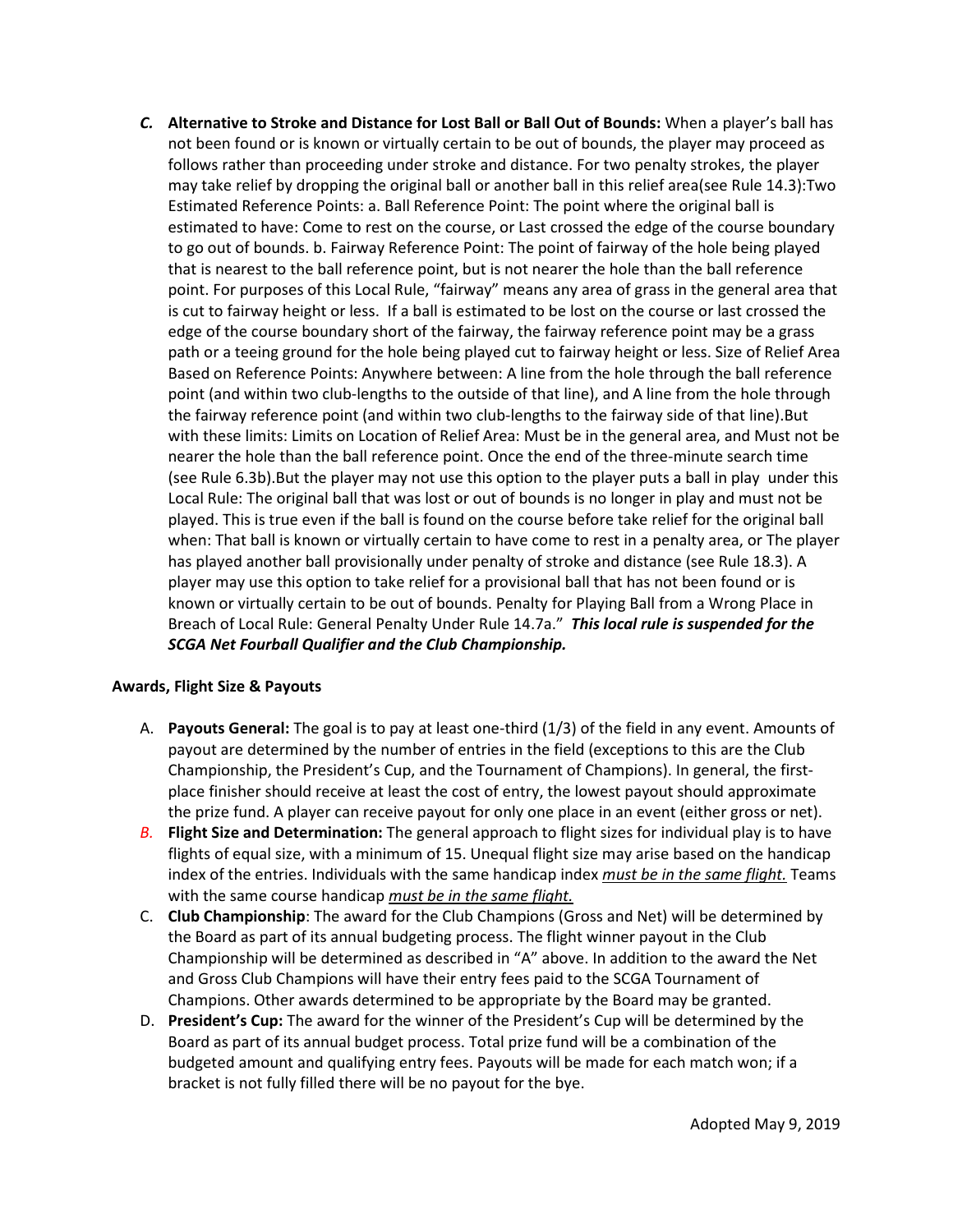*C.* **Alternative to Stroke and Distance for Lost Ball or Ball Out of Bounds:** When a player's ball has not been found or is known or virtually certain to be out of bounds, the player may proceed as follows rather than proceeding under stroke and distance. For two penalty strokes, the player may take relief by dropping the original ball or another ball in this relief area(see Rule 14.3):Two Estimated Reference Points: a. Ball Reference Point: The point where the original ball is estimated to have: Come to rest on the course, or Last crossed the edge of the course boundary to go out of bounds. b. Fairway Reference Point: The point of fairway of the hole being played that is nearest to the ball reference point, but is not nearer the hole than the ball reference point. For purposes of this Local Rule, "fairway" means any area of grass in the general area that is cut to fairway height or less. If a ball is estimated to be lost on the course or last crossed the edge of the course boundary short of the fairway, the fairway reference point may be a grass path or a teeing ground for the hole being played cut to fairway height or less. Size of Relief Area Based on Reference Points: Anywhere between: A line from the hole through the ball reference point (and within two club-lengths to the outside of that line), and A line from the hole through the fairway reference point (and within two club-lengths to the fairway side of that line).But with these limits: Limits on Location of Relief Area: Must be in the general area, and Must not be nearer the hole than the ball reference point. Once the end of the three-minute search time (see Rule 6.3b).But the player may not use this option to the player puts a ball in play under this Local Rule: The original ball that was lost or out of bounds is no longer in play and must not be played. This is true even if the ball is found on the course before take relief for the original ball when: That ball is known or virtually certain to have come to rest in a penalty area, or The player has played another ball provisionally under penalty of stroke and distance (see Rule 18.3). A player may use this option to take relief for a provisional ball that has not been found or is known or virtually certain to be out of bounds. Penalty for Playing Ball from a Wrong Place in Breach of Local Rule: General Penalty Under Rule 14.7a." *This local rule is suspended for the SCGA Net Fourball Qualifier and the Club Championship.* 

## **Awards, Flight Size & Payouts**

- A. **Payouts General:** The goal is to pay at least one-third (1/3) of the field in any event. Amounts of payout are determined by the number of entries in the field (exceptions to this are the Club Championship, the President's Cup, and the Tournament of Champions). In general, the firstplace finisher should receive at least the cost of entry, the lowest payout should approximate the prize fund. A player can receive payout for only one place in an event (either gross or net).
- *B.* **Flight Size and Determination:** The general approach to flight sizes for individual play is to have flights of equal size, with a minimum of 15. Unequal flight size may arise based on the handicap index of the entries. Individuals with the same handicap index *must be in the same flight.* Teams with the same course handicap *must be in the same flight.*
- C. **Club Championship**: The award for the Club Champions (Gross and Net) will be determined by the Board as part of its annual budgeting process. The flight winner payout in the Club Championship will be determined as described in "A" above. In addition to the award the Net and Gross Club Champions will have their entry fees paid to the SCGA Tournament of Champions. Other awards determined to be appropriate by the Board may be granted.
- D. **President's Cup:** The award for the winner of the President's Cup will be determined by the Board as part of its annual budget process. Total prize fund will be a combination of the budgeted amount and qualifying entry fees. Payouts will be made for each match won; if a bracket is not fully filled there will be no payout for the bye.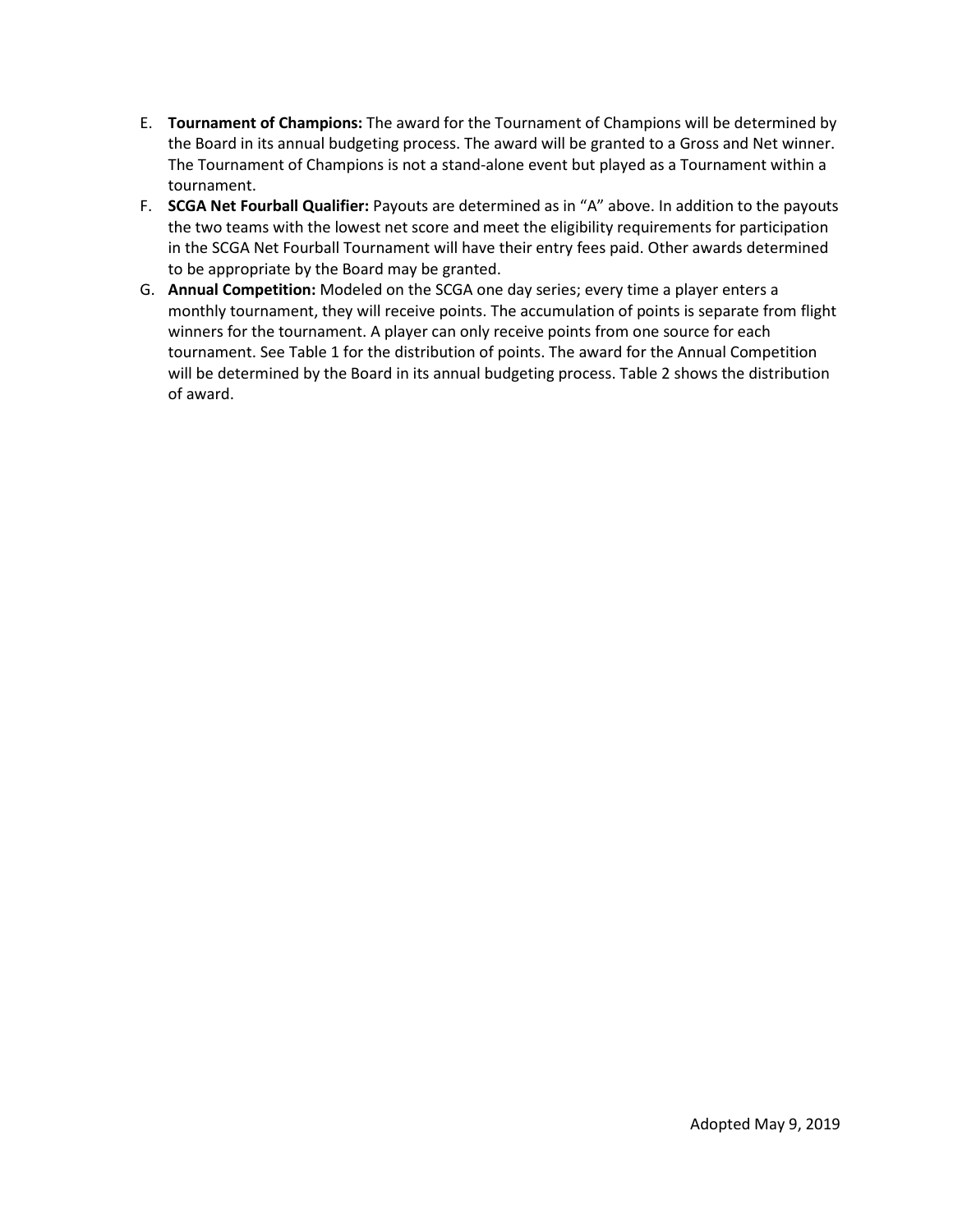- E. **Tournament of Champions:** The award for the Tournament of Champions will be determined by the Board in its annual budgeting process. The award will be granted to a Gross and Net winner. The Tournament of Champions is not a stand-alone event but played as a Tournament within a tournament.
- F. **SCGA Net Fourball Qualifier:** Payouts are determined as in "A" above. In addition to the payouts the two teams with the lowest net score and meet the eligibility requirements for participation in the SCGA Net Fourball Tournament will have their entry fees paid. Other awards determined to be appropriate by the Board may be granted.
- G. **Annual Competition:** Modeled on the SCGA one day series; every time a player enters a monthly tournament, they will receive points. The accumulation of points is separate from flight winners for the tournament. A player can only receive points from one source for each tournament. See Table 1 for the distribution of points. The award for the Annual Competition will be determined by the Board in its annual budgeting process. Table 2 shows the distribution of award.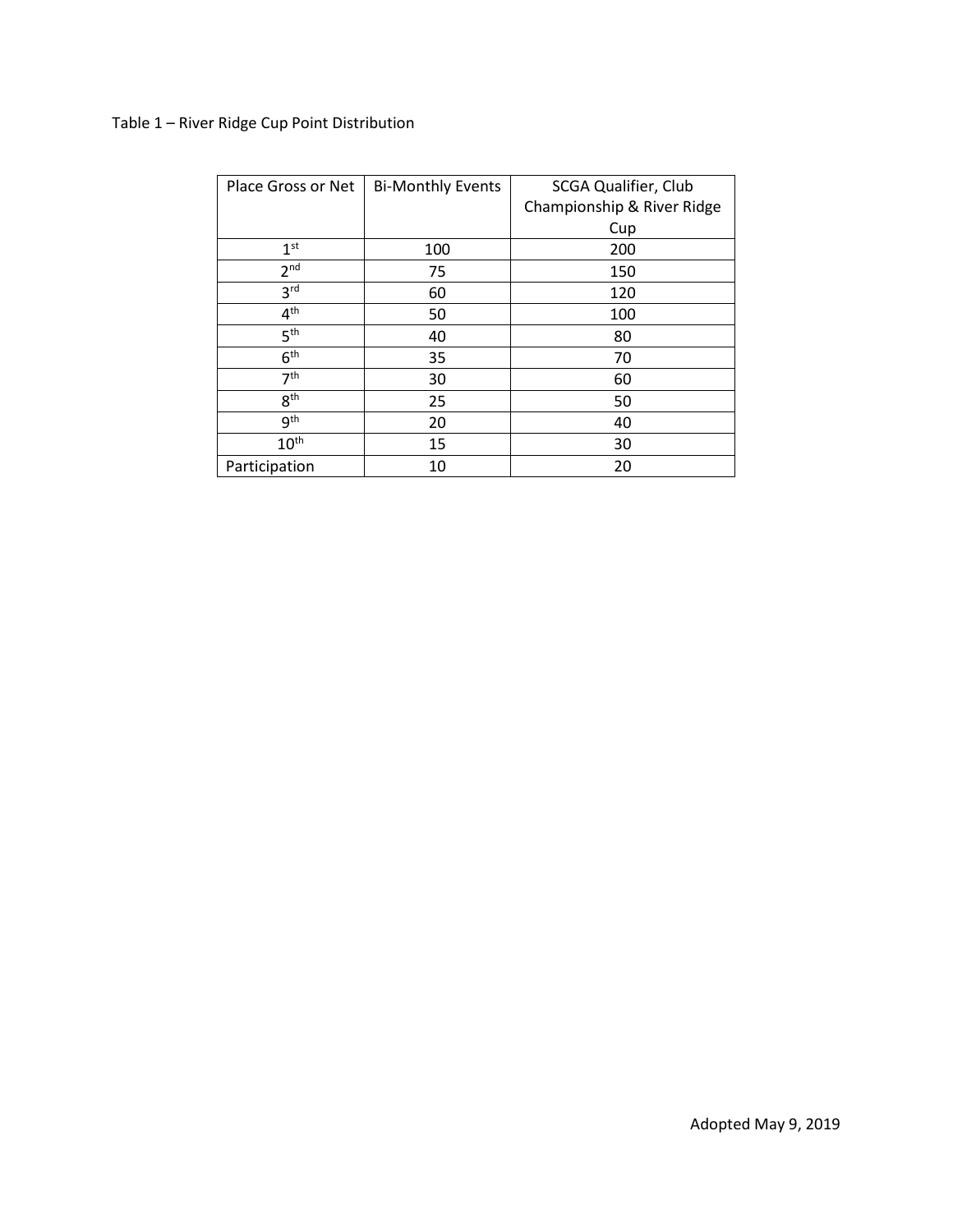# Table 1 – River Ridge Cup Point Distribution

| Place Gross or Net | <b>Bi-Monthly Events</b> | <b>SCGA Qualifier, Club</b> |
|--------------------|--------------------------|-----------------------------|
|                    |                          | Championship & River Ridge  |
|                    |                          | Cup                         |
| 1 <sup>st</sup>    | 100                      | 200                         |
| 2 <sup>nd</sup>    | 75                       | 150                         |
| 3 <sup>rd</sup>    | 60                       | 120                         |
| 4 <sup>th</sup>    | 50                       | 100                         |
| 5 <sup>th</sup>    | 40                       | 80                          |
| 6 <sup>th</sup>    | 35                       | 70                          |
| 7 <sup>th</sup>    | 30                       | 60                          |
| 8 <sup>th</sup>    | 25                       | 50                          |
| 9 <sup>th</sup>    | 20                       | 40                          |
| $10^{\text{th}}$   | 15                       | 30                          |
| Participation      | 10                       | 20                          |